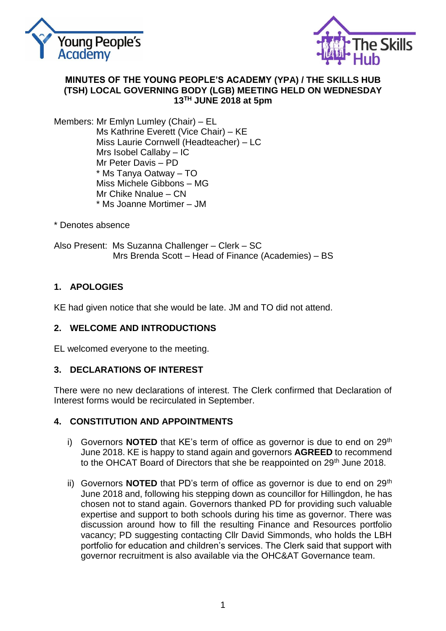



#### **MINUTES OF THE YOUNG PEOPLE'S ACADEMY (YPA) / THE SKILLS HUB (TSH) LOCAL GOVERNING BODY (LGB) MEETING HELD ON WEDNESDAY 13 TH JUNE 2018 at 5pm**

Members: Mr Emlyn Lumley (Chair) – EL Ms Kathrine Everett (Vice Chair) – KE Miss Laurie Cornwell (Headteacher) – LC Mrs Isobel Callaby – IC Mr Peter Davis – PD \* Ms Tanya Oatway – TO Miss Michele Gibbons – MG Mr Chike Nnalue – CN \* Ms Joanne Mortimer – JM

\* Denotes absence

Also Present: Ms Suzanna Challenger – Clerk – SC Mrs Brenda Scott – Head of Finance (Academies) – BS

# **1. APOLOGIES**

KE had given notice that she would be late. JM and TO did not attend.

### **2. WELCOME AND INTRODUCTIONS**

EL welcomed everyone to the meeting.

### **3. DECLARATIONS OF INTEREST**

There were no new declarations of interest. The Clerk confirmed that Declaration of Interest forms would be recirculated in September.

### **4. CONSTITUTION AND APPOINTMENTS**

- i) Governors **NOTED** that KE's term of office as governor is due to end on 29<sup>th</sup> June 2018. KE is happy to stand again and governors **AGREED** to recommend to the OHCAT Board of Directors that she be reappointed on 29<sup>th</sup> June 2018.
- ii) Governors **NOTED** that PD's term of office as governor is due to end on 29<sup>th</sup> June 2018 and, following his stepping down as councillor for Hillingdon, he has chosen not to stand again. Governors thanked PD for providing such valuable expertise and support to both schools during his time as governor. There was discussion around how to fill the resulting Finance and Resources portfolio vacancy; PD suggesting contacting Cllr David Simmonds, who holds the LBH portfolio for education and children's services. The Clerk said that support with governor recruitment is also available via the OHC&AT Governance team.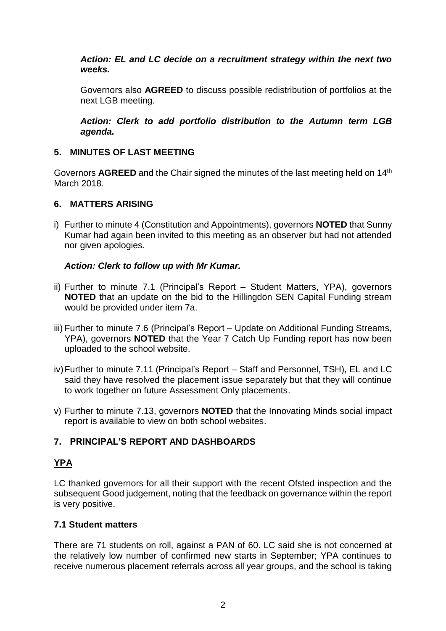### *Action: EL and LC decide on a recruitment strategy within the next two weeks.*

Governors also **AGREED** to discuss possible redistribution of portfolios at the next LGB meeting.

*Action: Clerk to add portfolio distribution to the Autumn term LGB agenda.*

### **5. MINUTES OF LAST MEETING**

Governors AGREED and the Chair signed the minutes of the last meeting held on 14<sup>th</sup> March 2018.

# **6. MATTERS ARISING**

i) Further to minute 4 (Constitution and Appointments), governors **NOTED** that Sunny Kumar had again been invited to this meeting as an observer but had not attended nor given apologies.

### *Action: Clerk to follow up with Mr Kumar.*

- ii) Further to minute 7.1 (Principal's Report Student Matters, YPA), governors **NOTED** that an update on the bid to the Hillingdon SEN Capital Funding stream would be provided under item 7a.
- iii) Further to minute 7.6 (Principal's Report Update on Additional Funding Streams, YPA), governors **NOTED** that the Year 7 Catch Up Funding report has now been uploaded to the school website.
- iv)Further to minute 7.11 (Principal's Report Staff and Personnel, TSH), EL and LC said they have resolved the placement issue separately but that they will continue to work together on future Assessment Only placements.
- v) Further to minute 7.13, governors **NOTED** that the Innovating Minds social impact report is available to view on both school websites.

# **7. PRINCIPAL'S REPORT AND DASHBOARDS**

# **YPA**

LC thanked governors for all their support with the recent Ofsted inspection and the subsequent Good judgement, noting that the feedback on governance within the report is very positive.

### **7.1 Student matters**

There are 71 students on roll, against a PAN of 60. LC said she is not concerned at the relatively low number of confirmed new starts in September; YPA continues to receive numerous placement referrals across all year groups, and the school is taking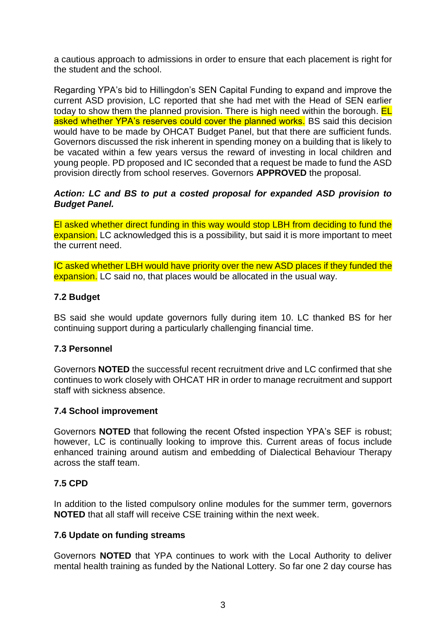a cautious approach to admissions in order to ensure that each placement is right for the student and the school.

Regarding YPA's bid to Hillingdon's SEN Capital Funding to expand and improve the current ASD provision, LC reported that she had met with the Head of SEN earlier today to show them the planned provision. There is high need within the borough. **EL** asked whether YPA's reserves could cover the planned works. BS said this decision would have to be made by OHCAT Budget Panel, but that there are sufficient funds. Governors discussed the risk inherent in spending money on a building that is likely to be vacated within a few years versus the reward of investing in local children and young people. PD proposed and IC seconded that a request be made to fund the ASD provision directly from school reserves. Governors **APPROVED** the proposal.

### *Action: LC and BS to put a costed proposal for expanded ASD provision to Budget Panel.*

El asked whether direct funding in this way would stop LBH from deciding to fund the expansion. LC acknowledged this is a possibility, but said it is more important to meet the current need.

IC asked whether LBH would have priority over the new ASD places if they funded the expansion. LC said no, that places would be allocated in the usual way.

### **7.2 Budget**

BS said she would update governors fully during item 10. LC thanked BS for her continuing support during a particularly challenging financial time.

#### **7.3 Personnel**

Governors **NOTED** the successful recent recruitment drive and LC confirmed that she continues to work closely with OHCAT HR in order to manage recruitment and support staff with sickness absence.

#### **7.4 School improvement**

Governors **NOTED** that following the recent Ofsted inspection YPA's SEF is robust; however, LC is continually looking to improve this. Current areas of focus include enhanced training around autism and embedding of Dialectical Behaviour Therapy across the staff team.

#### **7.5 CPD**

In addition to the listed compulsory online modules for the summer term, governors **NOTED** that all staff will receive CSE training within the next week.

#### **7.6 Update on funding streams**

Governors **NOTED** that YPA continues to work with the Local Authority to deliver mental health training as funded by the National Lottery. So far one 2 day course has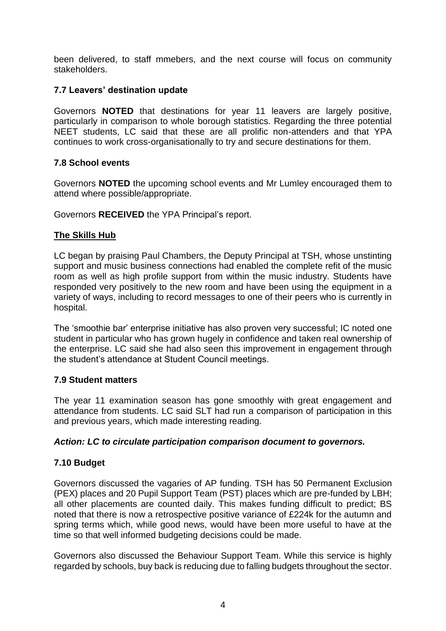been delivered, to staff mmebers, and the next course will focus on community stakeholders.

### **7.7 Leavers' destination update**

Governors **NOTED** that destinations for year 11 leavers are largely positive, particularly in comparison to whole borough statistics. Regarding the three potential NEET students, LC said that these are all prolific non-attenders and that YPA continues to work cross-organisationally to try and secure destinations for them.

#### **7.8 School events**

Governors **NOTED** the upcoming school events and Mr Lumley encouraged them to attend where possible/appropriate.

Governors **RECEIVED** the YPA Principal's report.

#### **The Skills Hub**

LC began by praising Paul Chambers, the Deputy Principal at TSH, whose unstinting support and music business connections had enabled the complete refit of the music room as well as high profile support from within the music industry. Students have responded very positively to the new room and have been using the equipment in a variety of ways, including to record messages to one of their peers who is currently in hospital.

The 'smoothie bar' enterprise initiative has also proven very successful; IC noted one student in particular who has grown hugely in confidence and taken real ownership of the enterprise. LC said she had also seen this improvement in engagement through the student's attendance at Student Council meetings.

#### **7.9 Student matters**

The year 11 examination season has gone smoothly with great engagement and attendance from students. LC said SLT had run a comparison of participation in this and previous years, which made interesting reading.

#### *Action: LC to circulate participation comparison document to governors.*

#### **7.10 Budget**

Governors discussed the vagaries of AP funding. TSH has 50 Permanent Exclusion (PEX) places and 20 Pupil Support Team (PST) places which are pre-funded by LBH; all other placements are counted daily. This makes funding difficult to predict; BS noted that there is now a retrospective positive variance of £224k for the autumn and spring terms which, while good news, would have been more useful to have at the time so that well informed budgeting decisions could be made.

Governors also discussed the Behaviour Support Team. While this service is highly regarded by schools, buy back is reducing due to falling budgets throughout the sector.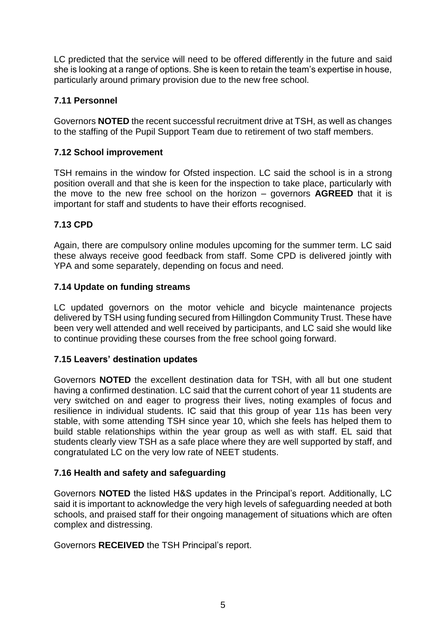LC predicted that the service will need to be offered differently in the future and said she is looking at a range of options. She is keen to retain the team's expertise in house, particularly around primary provision due to the new free school.

# **7.11 Personnel**

Governors **NOTED** the recent successful recruitment drive at TSH, as well as changes to the staffing of the Pupil Support Team due to retirement of two staff members.

# **7.12 School improvement**

TSH remains in the window for Ofsted inspection. LC said the school is in a strong position overall and that she is keen for the inspection to take place, particularly with the move to the new free school on the horizon – governors **AGREED** that it is important for staff and students to have their efforts recognised.

# **7.13 CPD**

Again, there are compulsory online modules upcoming for the summer term. LC said these always receive good feedback from staff. Some CPD is delivered jointly with YPA and some separately, depending on focus and need.

### **7.14 Update on funding streams**

LC updated governors on the motor vehicle and bicycle maintenance projects delivered by TSH using funding secured from Hillingdon Community Trust. These have been very well attended and well received by participants, and LC said she would like to continue providing these courses from the free school going forward.

### **7.15 Leavers' destination updates**

Governors **NOTED** the excellent destination data for TSH, with all but one student having a confirmed destination. LC said that the current cohort of year 11 students are very switched on and eager to progress their lives, noting examples of focus and resilience in individual students. IC said that this group of year 11s has been very stable, with some attending TSH since year 10, which she feels has helped them to build stable relationships within the year group as well as with staff. EL said that students clearly view TSH as a safe place where they are well supported by staff, and congratulated LC on the very low rate of NEET students.

### **7.16 Health and safety and safeguarding**

Governors **NOTED** the listed H&S updates in the Principal's report. Additionally, LC said it is important to acknowledge the very high levels of safeguarding needed at both schools, and praised staff for their ongoing management of situations which are often complex and distressing.

Governors **RECEIVED** the TSH Principal's report.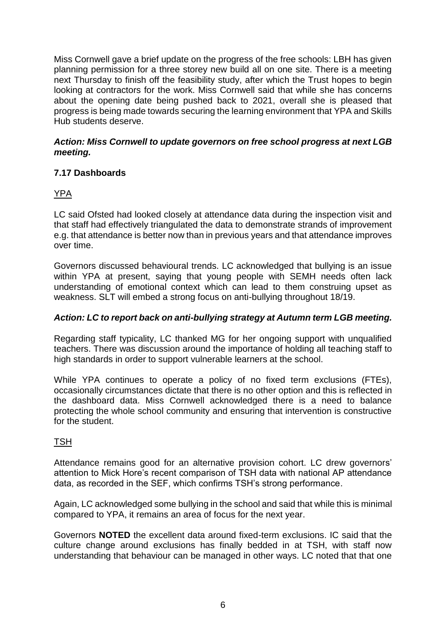Miss Cornwell gave a brief update on the progress of the free schools: LBH has given planning permission for a three storey new build all on one site. There is a meeting next Thursday to finish off the feasibility study, after which the Trust hopes to begin looking at contractors for the work. Miss Cornwell said that while she has concerns about the opening date being pushed back to 2021, overall she is pleased that progress is being made towards securing the learning environment that YPA and Skills Hub students deserve.

### *Action: Miss Cornwell to update governors on free school progress at next LGB meeting.*

# **7.17 Dashboards**

# YPA

LC said Ofsted had looked closely at attendance data during the inspection visit and that staff had effectively triangulated the data to demonstrate strands of improvement e.g. that attendance is better now than in previous years and that attendance improves over time.

Governors discussed behavioural trends. LC acknowledged that bullying is an issue within YPA at present, saying that young people with SEMH needs often lack understanding of emotional context which can lead to them construing upset as weakness. SLT will embed a strong focus on anti-bullying throughout 18/19.

### *Action: LC to report back on anti-bullying strategy at Autumn term LGB meeting.*

Regarding staff typicality, LC thanked MG for her ongoing support with unqualified teachers. There was discussion around the importance of holding all teaching staff to high standards in order to support vulnerable learners at the school.

While YPA continues to operate a policy of no fixed term exclusions (FTEs), occasionally circumstances dictate that there is no other option and this is reflected in the dashboard data. Miss Cornwell acknowledged there is a need to balance protecting the whole school community and ensuring that intervention is constructive for the student.

### **TSH**

Attendance remains good for an alternative provision cohort. LC drew governors' attention to Mick Hore's recent comparison of TSH data with national AP attendance data, as recorded in the SEF, which confirms TSH's strong performance.

Again, LC acknowledged some bullying in the school and said that while this is minimal compared to YPA, it remains an area of focus for the next year.

Governors **NOTED** the excellent data around fixed-term exclusions. IC said that the culture change around exclusions has finally bedded in at TSH, with staff now understanding that behaviour can be managed in other ways. LC noted that that one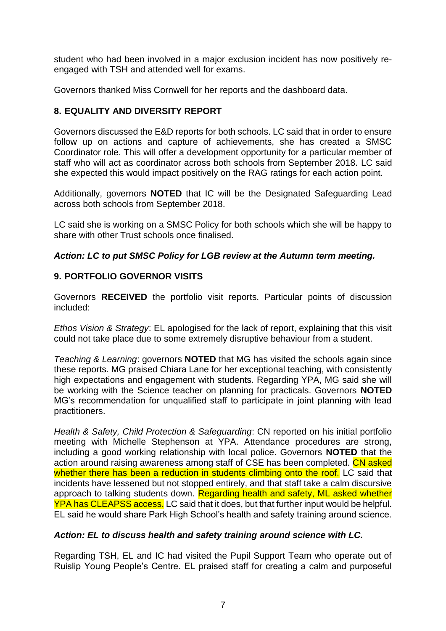student who had been involved in a major exclusion incident has now positively reengaged with TSH and attended well for exams.

Governors thanked Miss Cornwell for her reports and the dashboard data.

# **8. EQUALITY AND DIVERSITY REPORT**

Governors discussed the E&D reports for both schools. LC said that in order to ensure follow up on actions and capture of achievements, she has created a SMSC Coordinator role. This will offer a development opportunity for a particular member of staff who will act as coordinator across both schools from September 2018. LC said she expected this would impact positively on the RAG ratings for each action point.

Additionally, governors **NOTED** that IC will be the Designated Safeguarding Lead across both schools from September 2018.

LC said she is working on a SMSC Policy for both schools which she will be happy to share with other Trust schools once finalised.

### *Action: LC to put SMSC Policy for LGB review at the Autumn term meeting.*

### **9. PORTFOLIO GOVERNOR VISITS**

Governors **RECEIVED** the portfolio visit reports. Particular points of discussion included:

*Ethos Vision & Strategy*: EL apologised for the lack of report, explaining that this visit could not take place due to some extremely disruptive behaviour from a student.

*Teaching & Learning*: governors **NOTED** that MG has visited the schools again since these reports. MG praised Chiara Lane for her exceptional teaching, with consistently high expectations and engagement with students. Regarding YPA, MG said she will be working with the Science teacher on planning for practicals. Governors **NOTED** MG's recommendation for unqualified staff to participate in joint planning with lead practitioners.

*Health & Safety, Child Protection & Safeguarding*: CN reported on his initial portfolio meeting with Michelle Stephenson at YPA. Attendance procedures are strong, including a good working relationship with local police. Governors **NOTED** that the action around raising awareness among staff of CSE has been completed. CN asked whether there has been a reduction in students climbing onto the roof. LC said that incidents have lessened but not stopped entirely, and that staff take a calm discursive approach to talking students down. Regarding health and safety, ML asked whether YPA has CLEAPSS access. LC said that it does, but that further input would be helpful. EL said he would share Park High School's health and safety training around science.

### *Action: EL to discuss health and safety training around science with LC.*

Regarding TSH, EL and IC had visited the Pupil Support Team who operate out of Ruislip Young People's Centre. EL praised staff for creating a calm and purposeful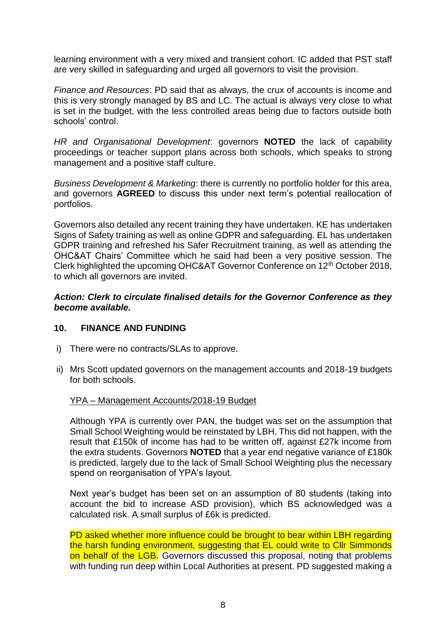learning environment with a very mixed and transient cohort. IC added that PST staff are very skilled in safeguarding and urged all governors to visit the provision.

*Finance and Resources*: PD said that as always, the crux of accounts is income and this is very strongly managed by BS and LC. The actual is always very close to what is set in the budget, with the less controlled areas being due to factors outside both schools' control.

*HR and Organisational Development*: governors **NOTED** the lack of capability proceedings or teacher support plans across both schools, which speaks to strong management and a positive staff culture.

*Business Development & Marketing*: there is currently no portfolio holder for this area, and governors **AGREED** to discuss this under next term's potential reallocation of portfolios.

Governors also detailed any recent training they have undertaken. KE has undertaken Signs of Safety training as well as online GDPR and safeguarding. EL has undertaken GDPR training and refreshed his Safer Recruitment training, as well as attending the OHC&AT Chairs' Committee which he said had been a very positive session. The Clerk highlighted the upcoming OHC&AT Governor Conference on 12th October 2018, to which all governors are invited.

#### *Action: Clerk to circulate finalised details for the Governor Conference as they become available.*

#### **10. FINANCE AND FUNDING**

- i) There were no contracts/SLAs to approve.
- ii) Mrs Scott updated governors on the management accounts and 2018-19 budgets for both schools.

#### YPA – Management Accounts/2018-19 Budget

Although YPA is currently over PAN, the budget was set on the assumption that Small School Weighting would be reinstated by LBH. This did not happen, with the result that £150k of income has had to be written off, against £27k income from the extra students. Governors **NOTED** that a year end negative variance of £180k is predicted, largely due to the lack of Small School Weighting plus the necessary spend on reorganisation of YPA's layout.

Next year's budget has been set on an assumption of 80 students (taking into account the bid to increase ASD provision), which BS acknowledged was a calculated risk. A small surplus of £6k is predicted.

PD asked whether more influence could be brought to bear within LBH regarding the harsh funding environment, suggesting that EL could write to Cllr Simmonds on behalf of the LGB. Governors discussed this proposal, noting that problems with funding run deep within Local Authorities at present. PD suggested making a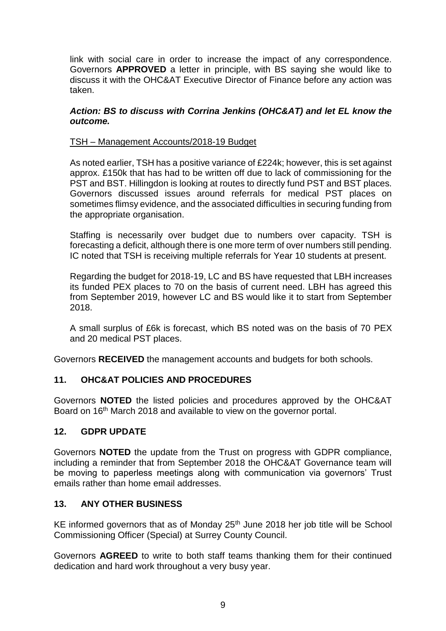link with social care in order to increase the impact of any correspondence. Governors **APPROVED** a letter in principle, with BS saying she would like to discuss it with the OHC&AT Executive Director of Finance before any action was taken.

#### *Action: BS to discuss with Corrina Jenkins (OHC&AT) and let EL know the outcome.*

### TSH – Management Accounts/2018-19 Budget

As noted earlier, TSH has a positive variance of £224k; however, this is set against approx. £150k that has had to be written off due to lack of commissioning for the PST and BST. Hillingdon is looking at routes to directly fund PST and BST places. Governors discussed issues around referrals for medical PST places on sometimes flimsy evidence, and the associated difficulties in securing funding from the appropriate organisation.

Staffing is necessarily over budget due to numbers over capacity. TSH is forecasting a deficit, although there is one more term of over numbers still pending. IC noted that TSH is receiving multiple referrals for Year 10 students at present.

Regarding the budget for 2018-19, LC and BS have requested that LBH increases its funded PEX places to 70 on the basis of current need. LBH has agreed this from September 2019, however LC and BS would like it to start from September 2018.

A small surplus of £6k is forecast, which BS noted was on the basis of 70 PEX and 20 medical PST places.

Governors **RECEIVED** the management accounts and budgets for both schools.

### **11. OHC&AT POLICIES AND PROCEDURES**

Governors **NOTED** the listed policies and procedures approved by the OHC&AT Board on 16<sup>th</sup> March 2018 and available to view on the governor portal.

#### **12. GDPR UPDATE**

Governors **NOTED** the update from the Trust on progress with GDPR compliance, including a reminder that from September 2018 the OHC&AT Governance team will be moving to paperless meetings along with communication via governors' Trust emails rather than home email addresses.

## **13. ANY OTHER BUSINESS**

KE informed governors that as of Monday  $25<sup>th</sup>$  June 2018 her job title will be School Commissioning Officer (Special) at Surrey County Council.

Governors **AGREED** to write to both staff teams thanking them for their continued dedication and hard work throughout a very busy year.